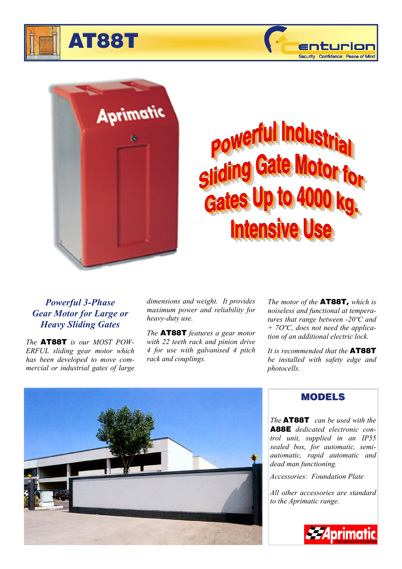





# Indu slidir In for Gates **Intensive**

## *Powerful 3-Phase Gear Motor for Large or Heavy Sliding Gates*

*The* **AT88T** *is our MOST POW-ERFUL sliding gear motor which has been developed to move commercial or industrial gates of large*  *dimensions and weight. It provides maximum power and reliability for heavy-duty use.* 

*The* **AT88T** *features a gear motor with 22 teeth rack and pinion drive 4 for use with galvanised 4 pitch rack and couplings.* 

*The motor of the* **AT88T,** *which is noiseless and functional at temperatures that range between -20ºC and + 7OºC, does not need the application of an additional electric lock.* 

*It is recommended that the* **AT88T** *be installed with safety edge and photocells.* 



## **MODELS**

*The* **AT88T** *can be used with the*  **A88E** *dedicated electronic control unit, supplied in an IP55 sealed box, for automatic, semiautomatic, rapid automatic and dead man functioning.*

*Accessories: Foundation Plate* 

*All other accessories are standard to the Aprimatic range.*